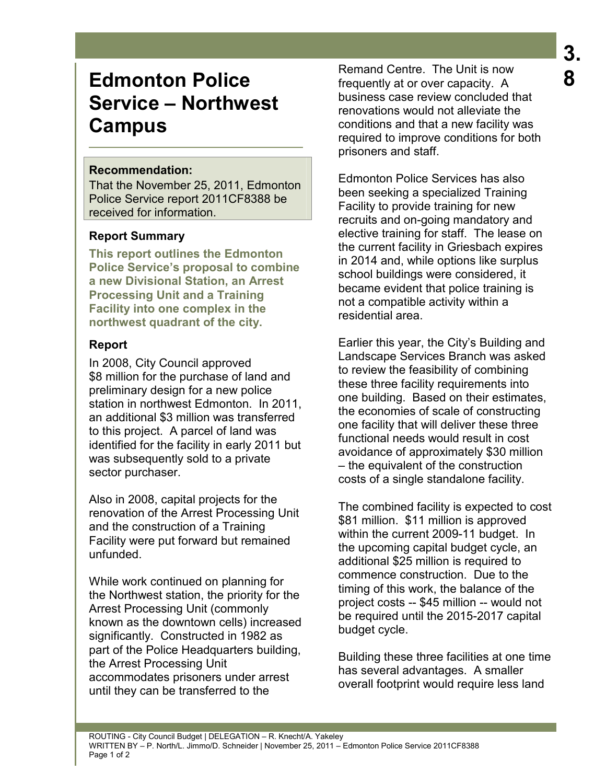# **Edmonton Police Service – Northwest Campus**

## **Recommendation:**

That the November 25, 2011, Edmonton Police Service report 2011CF8388 be received for information.

## **Report Summary**

**This report outlines the Edmonton Police Service's proposal to combine a new Divisional Station, an Arrest Processing Unit and a Training Facility into one complex in the northwest quadrant of the city.** 

## **Report**

In 2008, City Council approved \$8 million for the purchase of land and preliminary design for a new police station in northwest Edmonton. In 2011, an additional \$3 million was transferred to this project. A parcel of land was identified for the facility in early 2011 but was subsequently sold to a private sector purchaser.

Also in 2008, capital projects for the renovation of the Arrest Processing Unit and the construction of a Training Facility were put forward but remained unfunded.

While work continued on planning for the Northwest station, the priority for the Arrest Processing Unit (commonly known as the downtown cells) increased significantly. Constructed in 1982 as part of the Police Headquarters building. the Arrest Processing Unit accommodates prisoners under arrest until they can be transferred to the

Remand Centre. The Unit is now frequently at or over capacity. A business case review concluded that renovations would not alleviate the conditions and that a new facility was required to improve conditions for both prisoners and staff.

Edmonton Police Services has also been seeking a specialized Training Facility to provide training for new recruits and on-going mandatory and elective training for staff. The lease on the current facility in Griesbach expires in 2014 and, while options like surplus school buildings were considered, it became evident that police training is not a compatible activity within a residential area.

Earlier this year, the City's Building and Landscape Services Branch was asked to review the feasibility of combining these three facility requirements into one building. Based on their estimates, the economies of scale of constructing one facility that will deliver these three functional needs would result in cost avoidance of approximately \$30 million – the equivalent of the construction costs of a single standalone facility.

The combined facility is expected to cost \$81 million. \$11 million is approved within the current 2009-11 budget. In the upcoming capital budget cycle, an additional \$25 million is required to commence construction. Due to the timing of this work, the balance of the project costs -- \$45 million -- would not be required until the 2015-2017 capital budget cycle.

Building these three facilities at one time has several advantages. A smaller overall footprint would require less land